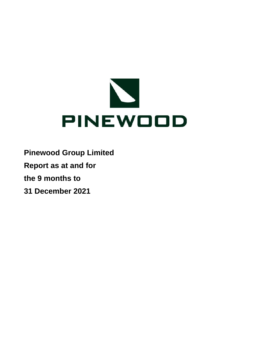

**Pinewood Group Limited**

**Report as at and for**

**the 9 months to**

**31 December 2021**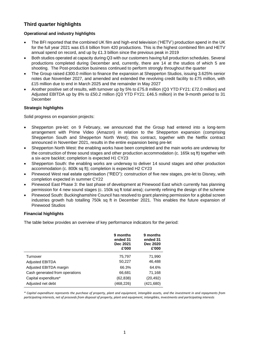# **Third quarter highlights**

### **Operational and industry highlights**

- The BFI reported that the combined UK film and high-end television ('HETV') production spend in the UK for the full year 2021 was £5.6 billion from 420 productions. This is the highest combined film and HETV annual spend on record, and up by £1.3 billion since the previous peak in 2019
- Both studios operated at capacity during Q3 with our customers having full production schedules. Several productions completed during December and, currently, there are 14 at the studios of which 5 are shooting. The Post-production business continued to perform strongly throughout the quarter
- The Group raised £300.0 million to finance the expansion at Shepperton Studios, issuing 3.625% senior notes due November 2027, and amended and extended the revolving credit facility to £75 million, with £15 million due to end in March 2025 and the remainder in May 2027
- Another positive set of results, with turnover up by 5% to £75.8 million (Q3 YTD FY21: £72.0 million) and Adjusted EBITDA up by 8% to £50.2 million (Q3 YTD FY21: £46.5 million) in the 9-month period to 31 December

#### **Strategic highlights**

Solid progress on expansion projects:

- Shepperton pre-let: on 9 February, we announced that the Group had entered into a long-term arrangement with Prime Video (Amazon) in relation to the Shepperton expansion (comprising Shepperton South and Shepperton North West); this contract, together with the Netflix contract announced in November 2021, results in the entire expansion being pre-let
- Shepperton North West: the enabling works have been completed and the main works are underway for the construction of three sound stages and other production accommodation (c. 165k sq ft) together with a six-acre backlot; completion is expected H1 CY23
- Shepperton South: the enabling works are underway to deliver 14 sound stages and other production accommodation (c. 800k sq ft); completion is expected H2 CY23
- Pinewood West real estate optimisation ("REO"): construction of five new stages, pre-let to Disney, with completion expected in summer CY22
- Pinewood East Phase 3: the last phase of development at Pinewood East which currently has planning permission for 4 new sound stages (c. 150k sq ft total area); currently refining the design of the scheme
- Pinewood South: Buckinghamshire Council has resolved to grant planning permission for a global screen industries growth hub totalling 750k sq ft in December 2021. This enables the future expansion of Pinewood Studios

#### **Financial highlights**

The table below provides an overview of key performance indicators for the period:

|                                | 9 months<br>ended 31<br>Dec 2021<br>£'000 | 9 months<br>ended 31<br>Dec 2020<br>£'000 |
|--------------------------------|-------------------------------------------|-------------------------------------------|
| Turnover                       | 75,797                                    | 71,990                                    |
| <b>Adjusted EBITDA</b>         | 50,227                                    | 46,488                                    |
| Adjusted EBITDA margin         | 66.3%                                     | 64.6%                                     |
| Cash generated from operations | 66,681                                    | 71,168                                    |
| Capital expenditure*           | (62, 838)                                 | (20, 492)                                 |
| Adjusted net debt              | (468,226)                                 | (421,680)                                 |

*\* Capital expenditure represents the purchase of property, plant and equipment, intangible assets, and the investment in and repayments from participating interests, net of proceeds from disposal of property, plant and equipment, intangibles, investments and participating interests*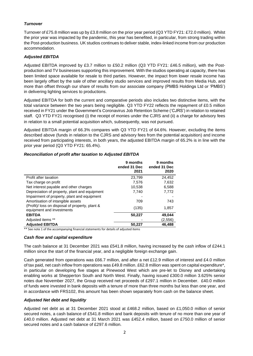#### *Turnover*

Turnover of £75.8 million was up by £3.8 million on the prior year period (Q3 YTD FY21: £72.0 million). Whilst the prior year was impacted by the pandemic, this year has benefited, in particular, from strong trading within the Post-production business. UK studios continues to deliver stable, index-linked income from our production accommodation.

#### *Adjusted EBITDA*

Adjusted EBITDA improved by £3.7 million to £50.2 million (Q3 YTD FY21: £46.5 million), with the Postproduction and TV businesses supporting this improvement. With the studios operating at capacity, there has been limited space available for resale to third parties. However, the impact from lower resale income has been largely offset by the sale of other ancillary studio services and improved results from Media Hub, and more than offset through our share of results from our associate company (PMBS Holdings Ltd or 'PMBS') in delivering lighting services to productions.

Adjusted EBITDA for both the current and comparative periods also includes two distinctive items, with the total variance between the two years being negligible. Q3 YTD FY22 reflects the repayment of £0.5 million received in FY21 under the Government's Coronavirus Job Retention Scheme ('CJRS') in relation to retained staff. Q3 YTD FY21 recognised (i) the receipt of monies under the CJRS and (ii) a charge for advisory fees in relation to a small potential acquisition which, subsequently, was not pursued.

Adjusted EBITDA margin of 66.3% compares with Q3 YTD FY21 of 64.6%. However, excluding the items described above (funds in relation to the CJRS and advisory fees from the potential acquisition) and income received from participating interests, in both years, the adjusted EBITDA margin of 65.2% is in line with the prior year period (Q3 YTD FY21: 65.4%).

#### *Reconciliation of profit after taxation to Adjusted EBITDA*

|                                                                              | 9 months<br>ended 31 Dec<br>2021 | 9 months<br>ended 31 Dec<br>2020 |
|------------------------------------------------------------------------------|----------------------------------|----------------------------------|
| Profit after taxation                                                        | 23.799                           | 24,452                           |
| Tax charge on profit                                                         | 7.576                            | 7,632                            |
| Net interest payable and other charges                                       | 10,538                           | 6,588                            |
| Depreciation of property, plant and equipment                                | 7.740                            | 7.772                            |
| Impairment of property, plant and equipment                                  |                                  |                                  |
| Amortisation of intangible assets                                            | 709                              | 743                              |
| (Profit)/ loss on disposal of property, plant &<br>equipment and investments | (135)                            | 1,857                            |
| <b>EBITDA</b>                                                                | 50,227                           | 49,044                           |
| Adjusted items **                                                            |                                  | (2,556)                          |
| <b>Adjusted EBITDA</b>                                                       | 50,227                           | 46,488                           |

\*\* See note 1 of the accompanying financial statements for details of adjusted items

#### *Cash flow and capital expenditure*

The cash balance at 31 December 2021 was £541.8 million, having increased by the cash inflow of £244.1 million since the start of the financial year, and a negligible foreign exchange gain.

Cash generated from operations was £66.7 million, and after a net £12.9 million of interest and £4.0 million of tax paid, net cash inflow from operations was £49.8 million. £62.8 million was spent on capital expenditure\*, in particular on developing five stages at Pinewood West which are pre-let to Disney and undertaking enabling works at Shepperton South and North West. Finally, having issued £300.0 million 3.625% senior notes due November 2027, the Group received net proceeds of £297.1 million in December. £40.0 million of funds were invested in bank deposits with a tenure of more than three months but less than one year, and in accordance with FRS102, this amount has been shown separately from cash on the balance sheet.

#### *Adjusted Net debt and liquidity*

Adjusted net debt as at 31 December 2021 stood at £468.2 million, based on £1,050.0 million of senior secured notes, a cash balance of £541.8 million and bank deposits with tenure of no more than one year of £40.0 million. Adjusted net debt at 31 March 2021 was £452.4 million, based on £750.0 million of senior secured notes and a cash balance of £297.6 million.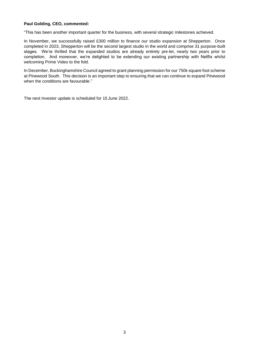#### **Paul Golding, CEO, commented:**

"This has been another important quarter for the business, with several strategic milestones achieved.

In November, we successfully raised £300 million to finance our studio expansion at Shepperton. Once completed in 2023, Shepperton will be the second largest studio in the world and comprise 31 purpose-built stages. We're thrilled that the expanded studios are already entirely pre-let, nearly two years prior to completion. And moreover, we're delighted to be extending our existing partnership with Netflix whilst welcoming Prime Video to the fold.

In December, Buckinghamshire Council agreed to grant planning permission for our 750k square foot scheme at Pinewood South. This decision is an important step to ensuring that we can continue to expand Pinewood when the conditions are favourable."

The next Investor update is scheduled for 15 June 2022.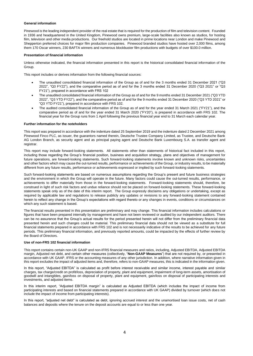#### **General information**

Pinewood is the leading independent provider of the real estate that is required for the production of film and television content. Founded in 1936 and headquartered in the United Kingdom, Pinewood owns premium, large-scale facilities also known as studios, for hosting film, television and other media productions. Our freehold studios are located in prime locations near London and make Pinewood and Shepperton preferred choices for major film production companies. Pinewood branded studios have hosted over 2,000 films, among them 170 Oscar winners, 230 BAFTA winners and numerous blockbuster film productions with budgets of over \$100.0 million.

#### **Presentation of financial information**

Unless otherwise indicated, the financial information presented in this report is the historical consolidated financial information of the Group.

This report includes or derives information from the following financial sources:

- The unaudited consolidated financial information of the Group as of and for the 3 months ended 31 December 2021 ("Q3 2022", "Q3 FY22"), and the comparative period as of and for the 3 months ended 31 December 2020 ("Q3 2021" or "Q3 FY21"), prepared in accordance with FRS 102
- The unaudited consolidated financial information of the Group as of and for the 9 months ended 31 December 2021 ("Q3 YTD 2022", "Q3 YTD FY22"), and the comparative period as of and for the 9 months ended 31 December 2020 ("Q3 YTD 2021" or "Q3 YTD FY21"), prepared in accordance with FRS 102.
- The audited consolidated financial information of the Group as of and for the year ended 31 March 2021 ("FY21"), and the comparative period as of and for the year ended 31 March 2020 ("FY20"), is prepared in accordance with FRS 102. The financial year for the Group runs from 1 April following the previous financial year end to 31 March each calendar year.

#### **Further information for the noteholders**

This report was prepared in accordance with the indenture dated 25 September 2019 and the indenture dated 2 December 2021 among Pinewood Finco PLC, as issuer, the guarantors named therein, Deutsche Trustee Company Limited, as Trustee, and Deutsche Bank AG London Branch, as security agent and as principal paying agent and Deutsche Bank Luxembourg S.A. as transfer agent and registrar.

This report may include forward-looking statements. All statements other than statements of historical fact included in this report, including those regarding the Group's financial position, business and acquisition strategy, plans and objectives of management for future operations, are forward-looking statements. Such forward-looking statements involve known and unknown risks, uncertainties and other factors which may cause the out-turned results, performance or achievements of the Group, or industry results, to be materially different from any future results, performance or achievements expressed or implied by such forward-looking statements.

Such forward-looking statements are based on numerous assumptions regarding the Group's present and future business strategies and the environment in which the Group will operate in the future. Many factors could cause the out-turned results, performance, or achievements to differ materially from those in the forward-looking statements. Forward-looking statements should, therefore, be construed in light of such risk factors and undue reliance should not be placed on forward-looking statements. These forward-looking statements speak only as of the date of this interim report. The Group expressly disclaims any obligations or undertaking, except as required by applicable law and regulations to release publicly any updates or revisions to any forward-looking statement contained herein to reflect any change in the Group's expectations with regard thereto or any changes in events, conditions or circumstances on which any such statement is based.

The financial results presented in this presentation are preliminary and may change. This financial information includes calculations or figures that have been prepared internally by management and have not been reviewed or audited by our independent auditors. There can be no assurance that the Group's actual results for the period presented herein will not differ from the preliminary financial data presented herein and such changes could be material. This preliminary financial data should not be viewed as a substitute for full financial statements prepared in accordance with FRS 102 and is not necessarily indicative of the results to be achieved for any future periods. This preliminary financial information, and previously reported amounts, could be impacted by the effects of further review by the Board of Directors.

#### **Use of non-FRS 102 financial information**

This report contains certain non-UK GAAP and non-IFRS financial measures and ratios, including, Adjusted EBITDA, Adjusted EBITDA margin, Adjusted net debt, and certain other measures (collectively, "**Non-GAAP Measures**") that are not required by, or presented in accordance with UK GAAP, IFRS or the accounting measures of any other jurisdiction. In addition, where narrative information given in this report excludes the impact of adjusted items and, therefore, refers to non-GAAP measures, this is indicated in the information given.

In this report, "Adjusted EBITDA" is calculated as profit before interest receivable and similar income, interest payable and similar charges, tax charge/credit on profit/loss, depreciation of property, plant and equipment, impairment of long-term assets, amortisation of goodwill and intangibles, gain/loss on disposal of property, plant and equipment, gain/loss on disposal of participating interests and investments, and adjusted items.

In this interim report, "Adjusted EBITDA margin" is calculated as Adjusted EBITDA (which includes the impact of income from participating interests and based on financial statements prepared in accordance with UK GAAP) divided by turnover (which does not include the impact of income from participating interests).

In this report, "adjusted net debt" is calculated as debt, ignoring accrued interest and the unamortised loan issue costs, net of cash balances and deposits where the tenure on the deposit accounts are equal to or less than one year.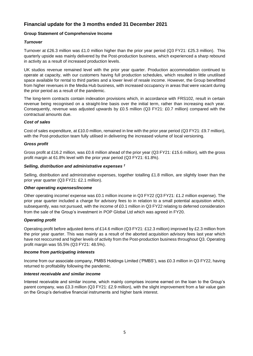# **Financial update for the 3 months ended 31 December 2021**

#### **Group Statement of Comprehensive Income**

#### *Turnover*

Turnover at £26.3 million was £1.0 million higher than the prior year period (Q3 FY21: £25.3 million). This quarterly upside was mainly delivered by the Post-production business, which experienced a sharp rebound in activity as a result of increased production levels.

UK studios revenue remained level with the prior year quarter. Production accommodation continued to operate at capacity, with our customers having full production schedules, which resulted in little unutilised space available for rental to third parties and a lower level of resale income. However, the Group benefitted from higher revenues in the Media Hub business, with increased occupancy in areas that were vacant during the prior period as a result of the pandemic.

The long-term contracts contain indexation provisions which, in accordance with FRS102, result in certain revenue being recognised on a straight-line basis over the initial term, rather than increasing each year. Consequently, revenue was adjusted upwards by £0.5 million (Q3 FY21: £0.7 million) compared with the contractual amounts due.

#### *Cost of sales*

Cost of sales expenditure, at £10.0 million, remained in line with the prior year period (Q3 FY21: £9.7 million), with the Post-production team fully utilised in delivering the increased volume of local versioning.

#### *Gross profit*

Gross profit at £16.2 million, was £0.6 million ahead of the prior year (Q3 FY21: £15.6 million), with the gross profit margin at 61.8% level with the prior year period (Q3 FY21: 61.8%).

#### *Selling, distribution and administrative expenses †*

Selling, distribution and administrative expenses, together totalling £1.8 million, are slightly lower than the prior year quarter (Q3 FY21: £2.1 million).

#### *Other operating expenses/income*

Other operating income/ expense was £0.1 million income in Q3 FY22 (Q3 FY21: £1.2 million expense). The prior year quarter included a charge for advisory fees to in relation to a small potential acquisition which, subsequently, was not pursued, with the income of £0.1 million in Q3 FY22 relating to deferred consideration from the sale of the Group's investment in POP Global Ltd which was agreed in FY20.

#### *Operating profit*

Operating profit before adjusted items of £14.6 million (Q3 FY21: £12.3 million) improved by £2.3 million from the prior year quarter. This was mainly as a result of the aborted acquisition advisory fees last year which have not reoccurred and higher levels of activity from the Post-production business throughout Q3. Operating profit margin was 55.5% (Q3 FY21: 48.5%).

#### *Income from participating interests*

Income from our associate company, PMBS Holdings Limited ('PMBS'), was £0.3 million in Q3 FY22, having returned to profitability following the pandemic.

#### *Interest receivable and similar income*

Interest receivable and similar income, which mainly comprises income earned on the loan to the Group's parent company, was £3.3 million (Q3 FY21: £2.9 million), with the slight improvement from a fair value gain on the Group's derivative financial instruments and higher bank interest.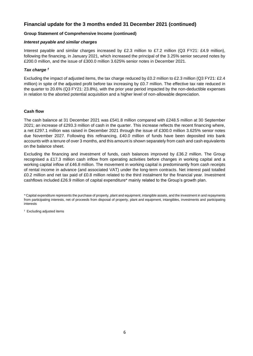# **Financial update for the 3 months ended 31 December 2021 (continued)**

#### **Group Statement of Comprehensive Income (continued)**

#### *Interest payable and similar charges*

Interest payable and similar charges increased by £2.3 million to £7.2 million (Q3 FY21: £4.9 million), following the financing, in January 2021, which increased the principal of the 3.25% senior secured notes by £200.0 million, and the issue of £300.0 million 3.625% senior notes in December 2021.

#### *Tax charge †*

Excluding the impact of adjusted items, the tax charge reduced by £0.2 million to £2.3 million (Q3 FY21: £2.4 million) in spite of the adjusted profit before tax increasing by £0.7 million. The effective tax rate reduced in the quarter to 20.6% (Q3 FY21: 23.8%), with the prior year period impacted by the non-deductible expenses in relation to the aborted potential acquisition and a higher level of non-allowable depreciation.

#### **Cash flow**

The cash balance at 31 December 2021 was £541.8 million compared with £248.5 million at 30 September 2021; an increase of £293.3 million of cash in the quarter. This increase reflects the recent financing where, a net £297.1 million was raised in December 2021 through the issue of £300.0 million 3.625% senior notes due November 2027. Following this refinancing, £40.0 million of funds have been deposited into bank accounts with a tenure of over 3 months, and this amount is shown separately from cash and cash equivalents on the balance sheet.

Excluding the financing and investment of funds, cash balances improved by £36.2 million. The Group recognised a £17.3 million cash inflow from operating activities before changes in working capital and a working capital inflow of £46.8 million. The movement in working capital is predominantly from cash receipts of rental income in advance (and associated VAT) under the long-term contracts. Net interest paid totalled £0.2 million and net tax paid of £0.8 million related to the third instalment for the financial year. Investment cashflows included £26.9 million of capital expenditure\* mainly related to the Group's growth plan.

*\** Capital expenditure represents the purchase of property, plant and equipment, intangible assets, and the investment in and repayments from participating interests, net of proceeds from disposal of property, plant and equipment, intangibles, investments and participating interests

† Excluding adjusted items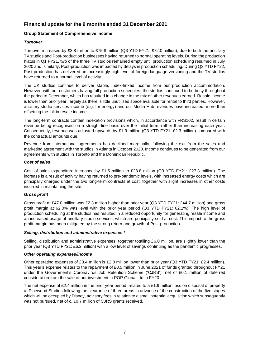# **Financial update for the 9 months ended 31 December 2021**

#### **Group Statement of Comprehensive Income**

#### *Turnover*

Turnover increased by £3.8 million to £75.8 million (Q3 YTD FY21: £72.0 million), due to both the ancillary TV studios and Post-production businesses having returned to normal operating levels. During the production hiatus in Q1 FY21, two of the three TV studios remained empty until production scheduling resumed in July 2020 and, similarly, Post-production was impacted by delays in production scheduling. During Q3 YTD FY22, Post-production has delivered an increasingly high level of foreign language versioning and the TV studios have returned to a normal level of activity.

The UK studios continue to deliver stable, index-linked income from our production accommodation. However, with our customers having full production schedules, the studios continued to be busy throughout the period to December, which has resulted in a change in the mix of other revenues earned. Resale income is lower than prior year, largely as there is little unutilised space available for rental to third parties. However, ancillary studio services income (e.g. for energy) and our Media Hub revenues have increased, more than offsetting the fall in resale income.

The long-term contracts contain indexation provisions which, in accordance with FRS102, result in certain revenue being recognised on a straight-line basis over the initial term, rather than increasing each year. Consequently, revenue was adjusted upwards by £1.9 million (Q3 YTD FY21: £2.3 million) compared with the contractual amounts due.

Revenue from international agreements has declined marginally, following the exit from the sales and marketing agreement with the studios in Atlanta in October 2020. Income continues to be generated from our agreements with studios in Toronto and the Dominican Republic.

#### *Cost of sales*

Cost of sales expenditure increased by £1.5 million to £28.8 million (Q3 YTD FY21: £27.3 million). The increase is a result of activity having returned to pre-pandemic levels, with increased energy costs which are principally charged under the two long-term contracts at cost, together with slight increases in other costs incurred in maintaining the site.

#### *Gross profit*

Gross profit at £47.0 million was £2.3 million higher than prior year (Q3 YTD FY21: £44.7 million) and gross profit margin at 62.0% was level with the prior year period (Q3 YTD FY21: 62.1%). The high level of production scheduling at the studios has resulted in a reduced opportunity for generating resale income and an increased usage of ancillary studio services, which are principally sold at cost. This impact to the gross profit margin has been mitigated by the strong return and growth of Post-production.

#### *Selling, distribution and administrative expenses †*

Selling, distribution and administrative expenses, together totalling £6.0 million, are slightly lower than the prior year (Q3 YTD FY21: £6.2 million) with a low level of savings continuing as the pandemic progresses.

#### *Other operating expenses/income*

Other operating expenses of £0.4 million is £2.0 million lower than prior year (Q3 YTD FY21: £2.4 million). This year's expense relates to the repayment of £0.5 million in June 2021 of funds granted throughout FY21 under the Government's Coronavirus Job Retention Scheme ('CJRS'), net of £0.1 million of deferred consideration from the sale of our investment in POP Global Ltd in FY20.

The net expense of £2.4 million in the prior year period, related to a £1.9 million loss on disposal of property at Pinewood Studios following the clearance of three areas in advance of the construction of the five stages which will be occupied by Disney, advisory fees in relation to a small potential acquisition which subsequently was not pursued, net of c. £0.7 million of CJRS grants received.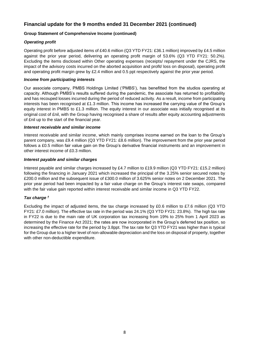# **Financial update for the 9 months ended 31 December 2021 (continued)**

#### **Group Statement of Comprehensive Income (continued)**

#### *Operating profit*

Operating profit before adjusted items of £40.6 million (Q3 YTD FY21: £36.1 million) improved by £4.5 million against the prior year period, delivering an operating profit margin of 53.6% (Q3 YTD FY21: 50.2%). Excluding the items disclosed within Other operating expenses (receipts/ repayment under the CJRS, the impact of the advisory costs incurred on the aborted acquisition and profit/ loss on disposal), operating profit and operating profit margin grew by £2.4 million and 0.5 ppt respectively against the prior year period.

#### *Income from participating interests*

Our associate company, PMBS Holdings Limited ('PMBS'), has benefitted from the studios operating at capacity. Although PMBS's results suffered during the pandemic, the associate has returned to profitability and has recouped losses incurred during the period of reduced activity. As a result, income from participating interests has been recognised at £1.3 million. This income has increased the carrying value of the Group's equity interest in PMBS to £1.3 million. The equity interest in our associate was initially recognised at its original cost of £nil, with the Group having recognised a share of results after equity accounting adjustments of £nil up to the start of the financial year.

#### *Interest receivable and similar income*

Interest receivable and similar income, which mainly comprises income earned on the loan to the Group's parent company, was £9.4 million (Q3 YTD FY21: £8.6 million). The improvement from the prior year period follows a £0.5 million fair value gain on the Group's derivative financial instruments and an improvement in other interest income of £0.3 million.

#### *Interest payable and similar charges*

Interest payable and similar charges increased by £4.7 million to £19.9 million (Q3 YTD FY21: £15.2 million) following the financing in January 2021 which increased the principal of the 3.25% senior secured notes by £200.0 million and the subsequent issue of £300.0 million of 3.625% senior notes on 2 December 2021. The prior year period had been impacted by a fair value charge on the Group's interest rate swaps, compared with the fair value gain reported within interest receivable and similar income in Q3 YTD FY22.

#### *Tax charge †*

Excluding the impact of adjusted items, the tax charge increased by £0.6 million to £7.6 million (Q3 YTD FY21: £7.0 million). The effective tax rate in the period was 24.1% (Q3 YTD FY21: 23.8%). The high tax rate in FY22 is due to the main rate of UK corporation tax increasing from 19% to 25% from 1 April 2023 as determined by the Finance Act 2021; the rates are now incorporated in the Group's deferred tax position, so increasing the effective rate for the period by 3.8ppt. The tax rate for Q3 YTD FY21 was higher than is typical for the Group due to a higher level of non-allowable depreciation and the loss on disposal of property, together with other non-deductible expenditure.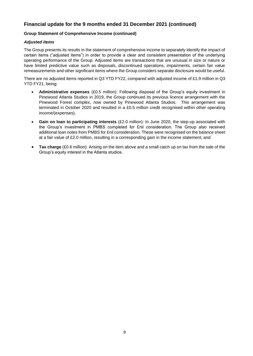# **Financial update for the 9 months ended 31 December 2021 (continued)**

#### **Group Statement of Comprehensive Income (continued)**

#### *Adjusted items*

The Group presents its results in the statement of comprehensive income to separately identify the impact of certain items ("adjusted items") in order to provide a clear and consistent presentation of the underlying operating performance of the Group. Adjusted items are transactions that are unusual in size or nature or have limited predictive value such as disposals, discontinued operations, impairments, certain fair value remeasurements and other significant items where the Group considers separate disclosure would be useful.

There are no adjusted items reported in Q3 YTD FY22, compared with adjusted income of £1.9 million in Q3 YTD FY21, being:

- **Administrative expenses** (£0.5 million): Following disposal of the Group's equity investment in Pinewood Atlanta Studios in 2019, the Group continued its previous licence arrangement with the Pinewood Forest complex, now owned by Pinewood Atlanta Studios. This arrangement was terminated in October 2020 and resulted in a £0.5 million credit recognised within other operating income/(expenses).
- **Gain on loan to participating interests** (£2.0 million): In June 2020, the step-up associated with the Group's investment in PMBS completed for £nil consideration. The Group also received additional loan notes from PMBS for £nil consideration. These were recognised on the balance sheet at a fair value of £2.0 million, resulting in a corresponding gain in the income statement; and
- **Tax charge** (£0.6 million): Arising on the item above and a small catch up on tax from the sale of the Group's equity interest in the Atlanta studios.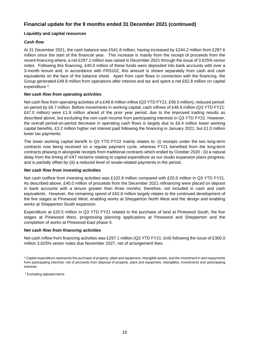# **Financial update for the 9 months ended 31 December 2021 (continued)**

#### **Liquidity and capital resources**

#### *Cash flow*

At 31 December 2021, the cash balance was £541.8 million, having increased by £244.2 million from £297.6 million since the start of the financial year. This increase is mainly from the receipt of proceeds from the recent financing where, a net £297.1 million was raised in December 2021 through the issue of 3.625% senior notes. Following this financing, £40.0 million of these funds were deposited into bank accounts with over a 3-month tenure and, in accordance with FRS102, this amount is shown separately from cash and cash equivalents on the face of the balance sheet. Apart from cash flows in connection with the financing, the Group generated £49.8 million from operations after interest and tax and spent a net £62.8 million on capital expenditure \*.

#### *Net cash flow from operating activities*

Net cash flow from operating activities of a £49.8 million inflow (Q3 YTD FY21: £56.5 million), reduced periodon-period by £6.7 million. Before movements in working capital, cash inflows of £48.9 million (Q3 YTD FY21: £47.0 million) were £1.9 million ahead of the prior year period, due to the improved trading results as described above, but excluding the non-cash income from participating interests in Q3 YTD FY22. However, the overall period-on-period decrease in operating cash flows is largely due to £6.4 million lower working capital benefits, £3.2 million higher net interest paid following the financing in January 2021, but £1.0 million lower tax payments.

The lower working capital benefit in Q3 YTD FY22 mainly relates to: (i) receipts under the two long-term contracts now being received on a regular payment cycle, whereas FY21 benefited from the long-term contracts phasing in alongside receipts from traditional contracts which ended by October 2020 ; (ii) a natural delay from the timing of VAT reclaims relating to capital expenditure as our studio expansion plans progress; and is partially offset by (iii) a reduced level of resale-related payments in the period.

#### *Net cash flow from investing activities*

Net cash outflow from investing activities was £102.8 million compared with £20.5 million in Q3 YTD FY21. As described above, £40.0 million of proceeds from the December 2021 refinancing were placed on deposit in bank accounts with a tenure greater than three months; therefore, not included in cash and cash equivalents. However, the remaining spend of £62.8 million largely relates to the continued development of the five stages at Pinewood West, enabling works at Shepperton North West and the design and enabling works at Shepperton South expansion.

Expenditure at £20.5 million in Q3 YTD FY21 related to the purchase of land at Pinewood South, the five stages at Pinewood West, progressing planning applications at Pinewood and Shepperton and the completion of works at Pinewood East phase II.

#### *Net cash flow from financing activities*

Net cash inflow from financing activities was £297.1 million (Q3 YTD FY21: £nil) following the issue of £300.0 million 3.625% senior notes due November 2027, net of arrangement fees.

*\** Capital expenditure represents the purchase of property, plant and equipment, intangible assets, and the investment in and repayments from participating interests, net of proceeds from disposal of property, plant and equipment, intangibles, investments and participating interests

*†* Excluding adjusted items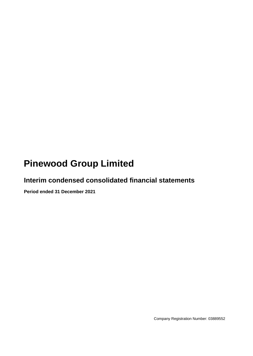# **Pinewood Group Limited**

# **Interim condensed consolidated financial statements**

**Period ended 31 December 2021**

Company Registration Number: 03889552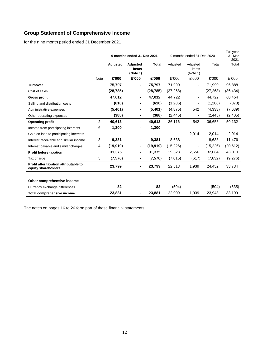# **Group Statement of Comprehensive Income**

for the nine month period ended 31 December 2021

|                                                              |      |           | 9 months ended 31 Dec 2021<br>9 months ended 31 Dec 2020 |              |           |                               | Full year<br>31 Mar<br>2021 |           |
|--------------------------------------------------------------|------|-----------|----------------------------------------------------------|--------------|-----------|-------------------------------|-----------------------------|-----------|
|                                                              |      | Adjusted  | Adjusted<br>items<br>(Note 1)                            | <b>Total</b> | Adjusted  | Adjusted<br>items<br>(Note 1) | Total                       | Total     |
|                                                              | Note | £'000     | £'000                                                    | £'000        | £'000     | £'000                         | £'000                       | £'000     |
| <b>Turnover</b>                                              |      | 75,797    | Ξ.                                                       | 75,797       | 71,990    | $\overline{\phantom{a}}$      | 71,990                      | 96,888    |
| Cost of sales                                                |      | (28, 785) |                                                          | (28, 785)    | (27, 268) | $\overline{\phantom{a}}$      | (27, 268)                   | (36, 434) |
| <b>Gross profit</b>                                          |      | 47,012    |                                                          | 47,012       | 44,722    | $\blacksquare$                | 44,722                      | 60,454    |
| Selling and distribution costs                               |      | (610)     |                                                          | (610)        | (1,286)   |                               | (1, 286)                    | (878)     |
| Administrative expenses                                      |      | (5,401)   | ۰                                                        | (5,401)      | (4, 875)  | 542                           | (4, 333)                    | (7,039)   |
| Other operating expenses                                     |      | (388)     |                                                          | (388)        | (2, 445)  | $\qquad \qquad \blacksquare$  | (2, 445)                    | (2,405)   |
| <b>Operating profit</b>                                      | 2    | 40,613    | ۰.                                                       | 40,613       | 36,116    | 542                           | 36,658                      | 50,132    |
| Income from participating interests                          | 6    | 1,300     |                                                          | 1,300        |           |                               |                             |           |
| Gain on loan to participating interests                      |      |           |                                                          |              |           | 2,014                         | 2,014                       | 2,014     |
| Interest receivable and similar income                       | 3    | 9,381     |                                                          | 9,381        | 8,638     |                               | 8,638                       | 11,476    |
| Interest payable and similar charges                         | 4    | (19, 919) |                                                          | (19, 919)    | (15, 226) | ٠                             | (15, 226)                   | (20, 612) |
| <b>Profit before taxation</b>                                |      | 31,375    |                                                          | 31,375       | 29,528    | 2,556                         | 32,084                      | 43,010    |
| Tax charge                                                   | 5    | (7, 576)  |                                                          | (7, 576)     | (7,015)   | (617)                         | (7,632)                     | (9,276)   |
| Profit after taxation attributable to<br>equity shareholders |      | 23,799    |                                                          | 23,799       | 22,513    | 1,939                         | 24,452                      | 33,734    |
|                                                              |      |           |                                                          |              |           |                               |                             |           |
| Other comprehensive income                                   |      |           |                                                          |              |           |                               |                             |           |
| Currency exchange differences                                |      | 82        |                                                          | 82           | (504)     |                               | (504)                       | (535)     |
| <b>Total comprehensive income</b>                            |      | 23,881    |                                                          | 23,881       | 22,009    | 1,939                         | 23,948                      | 33,199    |

The notes on pages 16 to 26 form part of these financial statements.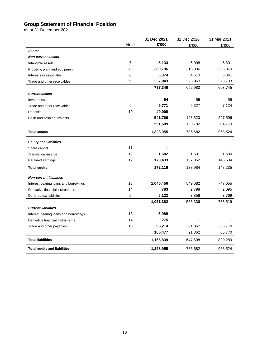# **Group Statement of Financial Position**

as at 31 December 2021

|                                       |      | 31 Dec 2021 | 31 Dec 2020 | 31 Mar 2021 |
|---------------------------------------|------|-------------|-------------|-------------|
|                                       | Note | £'000       | £'000       | £'000       |
| <b>Assets</b>                         |      |             |             |             |
| <b>Non-current assets</b>             |      |             |             |             |
| Intangible assets                     | 7    | 5,133       | 6,008       | 5,801       |
| Property, plant and equipment         | 8    | 389,796     | 316,396     | 325,370     |
| Interests in associates               | 6    | 5,374       | 4,613       | 3,841       |
| Trade and other receivables           | 9    | 337,043     | 325,963     | 328,733     |
|                                       |      | 737,346     | 652,980     | 663,745     |
| <b>Current assets</b>                 |      |             |             |             |
| Inventories                           |      | 64          | 55          | 59          |
| Trade and other receivables           | 9    | 9,771       | 5,327       | 7,124       |
| Deposits                              | 10   | 40,008      |             |             |
| Cash and cash equivalents             |      | 541,766     | 128,320     | 297,596     |
|                                       |      | 591,609     | 133,702     | 304,779     |
| <b>Total assets</b>                   |      | 1,328,955   | 786,682     | 968,524     |
| <b>Equity and liabilities</b>         |      |             |             |             |
| Share capital                         | 11   | 1           | 1           | 1           |
| <b>Translation reserve</b>            | 12   | 1,682       | 1,631       | 1,600       |
| Retained earnings                     | 12   | 170,433     | 137,352     | 146,634     |
| <b>Total equity</b>                   |      | 172,116     | 138,984     | 148,235     |
| <b>Non-current liabilities</b>        |      |             |             |             |
| Interest bearing loans and borrowings | 13   | 1,045,456   | 549,682     | 747,655     |
| Derivative financial instruments      | 14   | 783         | 2,798       | 2,095       |
| Deferred tax liabilities              | 5    | 5,123       | 3,856       | 3,769       |
|                                       |      | 1,051,362   | 556,336     | 753,519     |
| <b>Current liabilities</b>            |      |             |             |             |
| Interest bearing loans and borrowings | 13   | 6,988       |             |             |
| Derivative financial instruments      | 14   | 275         |             |             |
| Trade and other payables              | 15   | 98,214      | 91,362      | 66,770      |
|                                       |      | 105,477     | 91,362      | 66,770      |
| <b>Total liabilities</b>              |      | 1,156,839   | 647,698     | 820,289     |
| <b>Total equity and liabilities</b>   |      | 1,328,955   | 786,682     | 968,524     |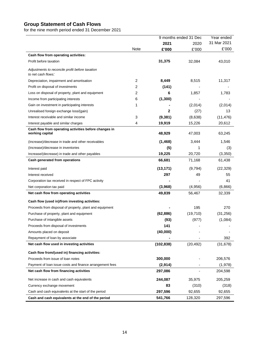### **Group Statement of Cash Flows**

for the nine month period ended 31 December 2021

|                                                                          |      |              | 9 months ended 31 Dec | Year ended  |  |
|--------------------------------------------------------------------------|------|--------------|-----------------------|-------------|--|
|                                                                          |      | 2021         | 2020                  | 31 Mar 2021 |  |
|                                                                          | Note | £'000        | £'000                 | £'000       |  |
| Cash flow from operating activities:                                     |      |              |                       |             |  |
| Profit before taxation                                                   |      | 31,375       | 32,084                | 43,010      |  |
| Adjustments to reconcile profit before taxation<br>to net cash flows:    |      |              |                       |             |  |
| Depreciation, impairment and amortisation                                | 2    | 8,449        | 8,515                 | 11,317      |  |
| Profit on disposal of investments                                        | 2    | (141)        |                       |             |  |
| Loss on disposal of property, plant and equipment                        | 2    | 6            | 1,857                 | 1,783       |  |
| Income from participating interests                                      | 6    | (1,300)      |                       |             |  |
| Gain on investment in participating interests                            | 1    |              | (2,014)               | (2,014)     |  |
| Unrealised foreign exchange loss/(gain)                                  |      | $\mathbf{2}$ | (27)                  | 13          |  |
| Interest receivable and similar income                                   | 3    | (9, 381)     | (8,638)               | (11, 476)   |  |
| Interest payable and similar charges                                     | 4    | 19,919       | 15,226                | 20,612      |  |
| Cash flow from operating activities before changes in<br>working capital |      | 48,929       | 47,003                | 63,245      |  |
| (Increase)/decrease in trade and other receivables                       |      | (1, 468)     | 3,444                 | 1,546       |  |
| (Increase)/decrease in inventories                                       |      | (5)          | 1                     | (3)         |  |
| Increase/(decrease) in trade and other payables                          |      | 19,225       | 20,720                | (3, 350)    |  |
| Cash generated from operations                                           |      | 66,681       | 71,168                | 61,438      |  |
| Interest paid                                                            |      | (13, 171)    | (9,794)               | (22, 329)   |  |
| Interest received                                                        |      | 297          | 49                    | 55          |  |
| Corporation tax received in respect of FPC activity                      |      |              |                       | 41          |  |
| Net corporation tax paid                                                 |      | (3,968)      | (4,956)               | (6,866)     |  |
| Net cash flow from operating activities                                  |      | 49,839       | 56,467                | 32,339      |  |
| Cash flow (used in)/from investing activities:                           |      |              |                       |             |  |
| Proceeds from disposal of property, plant and equipment                  |      |              | 195                   | 270         |  |
| Purchase of property, plant and equipment                                |      | (62, 886)    | (19, 710)             | (31, 256)   |  |
| Purchase of intangible assets                                            |      | (93)         | (977)                 | (1,084)     |  |
| Proceeds from disposal of investments                                    |      | 141          |                       |             |  |
| Amounts placed on deposit                                                |      | (40,000)     |                       |             |  |
| Repayment of loan by associate                                           |      |              |                       | 392         |  |
| Net cash flow used in investing activities                               |      | (102, 838)   | (20, 492)             | (31, 678)   |  |
| Cash flow from/(used in) financing activities:                           |      |              |                       |             |  |
| Proceeds from issue of loan notes                                        |      | 300,000      |                       | 206,576     |  |
| Payment of loan issue costs and finance arrangement fees                 |      | (2,914)      |                       | (1,978)     |  |
| Net cash flow from financing activities                                  |      | 297,086      |                       | 204,598     |  |
|                                                                          |      |              |                       |             |  |
| Net increase in cash and cash equivalents                                |      | 244,087      | 35,975                | 205,259     |  |
| Currency exchange movement                                               |      | 83           | (310)                 | (318)       |  |
| Cash and cash equivalents at the start of the period                     |      | 297,596      | 92,655                | 92,655      |  |
| Cash and cash equivalents at the end of the period                       |      | 541,766      | 128,320               | 297,596     |  |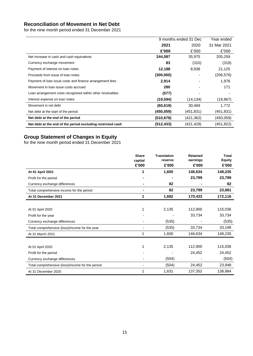# **Reconciliation of Movement in Net Debt**

for the nine month period ended 31 December 2021

|                                                             |            | 9 months ended 31 Dec | Year ended  |
|-------------------------------------------------------------|------------|-----------------------|-------------|
|                                                             | 2021       | 2020                  | 31 Mar 2021 |
|                                                             | £'000      | £'000                 | £'000       |
| Net increase in cash and cash equivalents                   | 244,087    | 35,975                | 205,259     |
| Currency exchange movement                                  | 83         | (310)                 | (318)       |
| Payment of interest on loan notes                           | 12,188     | 8,938                 | 21,125      |
| Proceeds from issue of loan notes                           | (300,000)  |                       | (206,576)   |
| Payment of loan issue costs and finance arrangement fees    | 2,914      |                       | 1,978       |
| Movement in loan issue costs accrued                        | 280        |                       | 171         |
| Loan arrangement costs recognised within other receivables  | (577)      |                       |             |
| Interest expense on loan notes                              | (19, 594)  | (14, 134)             | (19, 867)   |
| Movement in net debt                                        | (60, 619)  | 30,469                | 1,772       |
| Net debt at the start of the period                         | (450.059)  | (451,831)             | (451,831)   |
| Net debt at the end of the period                           | (510,678)  | (421,362)             | (450,059)   |
| Net debt at the end of the period excluding restricted cash | (512, 433) | (421,429)             | (451,822)   |

## **Group Statement of Changes in Equity**

for the nine month period ended 31 December 2021

|                                                  | <b>Share</b> | <b>Translation</b> | <b>Retained</b> | <b>Total</b>  |
|--------------------------------------------------|--------------|--------------------|-----------------|---------------|
|                                                  | capital      | reserve            | earnings        | <b>Equity</b> |
|                                                  | £'000        | £'000              | £'000           | £'000         |
| At 01 April 2021                                 | 1            | 1,600              | 146,634         | 148,235       |
| Profit for the period                            |              |                    | 23,799          | 23,799        |
| Currency exchange differences                    |              | 82                 |                 | 82            |
| Total comprehensive income for the period        |              | 82                 | 23,799          | 23,881        |
| At 31 December 2021                              | 1            | 1,682              | 170,433         | 172,116       |
|                                                  |              |                    |                 |               |
| At 01 April 2020                                 |              | 2,135              | 112,900         | 115,036       |
| Profit for the year                              |              |                    | 33,734          | 33,734        |
| Currency exchange differences                    |              | (535)              |                 | (535)         |
| Total comprehensive (loss)/income for the year   |              | (535)              | 33,734          | 33,199        |
| At 31 March 2021                                 | 1            | 1,600              | 146,634         | 148,235       |
|                                                  |              |                    |                 |               |
| At 01 April 2020                                 | 1            | 2,135              | 112,900         | 115,036       |
| Profit for the period                            |              |                    | 24,452          | 24,452        |
| Currency exchange differences                    |              | (504)              |                 | (504)         |
| Total comprehensive (loss)/income for the period |              | (504)              | 24,452          | 23,948        |
| At 31 December 2020                              |              | 1,631              | 137,352         | 138,984       |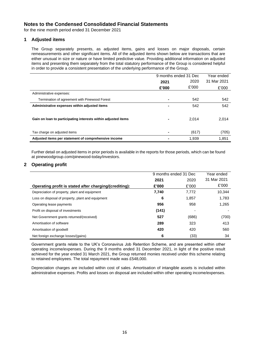for the nine month period ended 31 December 2021

#### **1 Adjusted items**

The Group separately presents, as adjusted items, gains and losses on major disposals, certain remeasurements and other significant items. All of the adjusted items shown below are transactions that are either unusual in size or nature or have limited predictive value. Providing additional information on adjusted items and presenting them separately from the total statutory performance of the Group is considered helpful in order to provide a consistent presentation of the underlying performance of the Group.

|                                                               |                | 9 months ended 31 Dec | Year ended  |
|---------------------------------------------------------------|----------------|-----------------------|-------------|
|                                                               | 2021           | 2020                  | 31 Mar 2021 |
|                                                               | £'000          | £'000                 | £'000       |
| Administrative expenses:                                      |                |                       |             |
| Termination of agreement with Pinewood Forest                 |                | 542                   | 542         |
| Administrative expenses within adjusted items                 | ۰              | 542                   | 542         |
|                                                               |                |                       |             |
| Gain on loan to participating interests within adjusted items | ۰              | 2.014                 | 2,014       |
|                                                               |                |                       |             |
| Tax charge on adjusted items                                  | $\blacksquare$ | (617)                 | (705)       |
| Adjusted items per statement of comprehensive income          |                | 1,939                 | 1,851       |

Further detail on adjusted items in prior periods is available in the reports for those periods, which can be found at pinewoodgroup.com/pinewood-today/investors.

#### **2 Operating profit**

|                                                        | 9 months ended 31 Dec |       | Year ended  |
|--------------------------------------------------------|-----------------------|-------|-------------|
|                                                        | 2021                  | 2020  | 31 Mar 2021 |
| Operating profit is stated after charging/(crediting): | £'000                 | £'000 | £'000       |
| Depreciation of property, plant and equipment          | 7,740                 | 7.772 | 10,344      |
| Loss on disposal of property, plant and equipment      | 6                     | 1,857 | 1,783       |
| Operating lease payments                               | 956                   | 958   | 1,265       |
| Profit on disposal of investments                      | (141)                 |       |             |
| Net Government grants returned/(received)              | 527                   | (686) | (700)       |
| Amortisation of software                               | 289                   | 323   | 413         |
| Amortisation of goodwill                               | 420                   | 420   | 560         |
| Net foreign exchange losses/(gains)                    | 6                     | (33)  | 34          |

Government grants relate to the UK's Coronavirus Job Retention Scheme, and are presented within other operating income/expenses. During the 9 months ended 31 December 2021, in light of the positive result achieved for the year ended 31 March 2021, the Group returned monies received under this scheme relating to retained employees. The total repayment made was £548,000.

Depreciation charges are included within cost of sales. Amortisation of intangible assets is included within administrative expenses. Profits and losses on disposal are included within other operating income/expenses.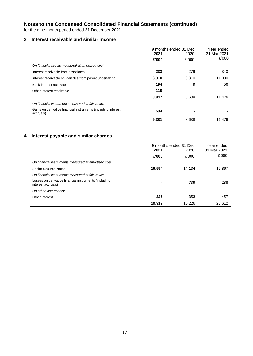for the nine month period ended 31 December 2021

#### **3 Interest receivable and similar income**

|                                                                            |       | 9 months ended 31 Dec | Year ended  |
|----------------------------------------------------------------------------|-------|-----------------------|-------------|
|                                                                            | 2021  | 2020                  | 31 Mar 2021 |
|                                                                            | £'000 | £'000                 | £'000       |
| On financial assets measured at amortised cost:                            |       |                       |             |
| Interest receivable from associates                                        | 233   | 279                   | 340         |
| Interest receivable on loan due from parent undertaking                    | 8,310 | 8,310                 | 11,080      |
| Bank interest receivable                                                   | 194   | 49                    | 56          |
| Other interest receivable                                                  | 110   |                       |             |
|                                                                            | 8,847 | 8,638                 | 11,476      |
| On financial instruments measured at fair value:                           |       |                       |             |
| Gains on derivative financial instruments (including interest<br>accruals) | 534   |                       |             |
|                                                                            | 9,381 | 8,638                 | 11,476      |

# **4 Interest payable and similar charges**

|                                                                             | 19,919                | 15,226 | 20,612      |
|-----------------------------------------------------------------------------|-----------------------|--------|-------------|
| Other interest                                                              | 325                   | 353    | 457         |
| On other instruments:                                                       |                       |        |             |
| Losses on derivative financial instruments (including<br>interest accruals) | -                     | 739    | 288         |
| On financial instruments measured at fair value:                            |                       |        |             |
| <b>Senior Secured Notes</b>                                                 | 19,594                | 14.134 | 19,867      |
| On financial instruments measured at amortised cost:                        |                       |        |             |
|                                                                             | £'000                 | £'000  | £'000       |
|                                                                             | 2021                  | 2020   | 31 Mar 2021 |
|                                                                             | 9 months ended 31 Dec |        | Year ended  |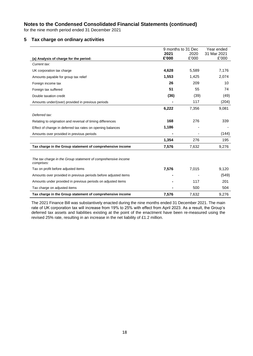for the nine month period ended 31 December 2021

#### **5 Tax charge on ordinary activities**

|                                                                             | 9 months to 31 Dec |       | Year ended  |
|-----------------------------------------------------------------------------|--------------------|-------|-------------|
|                                                                             | 2021               | 2020  | 31 Mar 2021 |
| (a) Analysis of charge for the period:                                      | £'000              | £'000 | £'000       |
| Current tax:                                                                |                    |       |             |
| UK corporation tax charge                                                   | 4,628              | 5,589 | 7,176       |
| Amounts payable for group tax relief                                        | 1,553              | 1,425 | 2,074       |
| Foreign income tax                                                          | 26                 | 209   | 10          |
| Foreign tax suffered                                                        | 51                 | 55    | 74          |
| Double taxation credit                                                      | (36)               | (39)  | (49)        |
| Amounts under/(over) provided in previous periods                           |                    | 117   | (204)       |
|                                                                             | 6,222              | 7,356 | 9,081       |
| Deferred tax:                                                               |                    |       |             |
| Relating to origination and reversal of timing differences                  | 168                | 276   | 339         |
| Effect of change in deferred tax rates on opening balances                  | 1,186              |       |             |
| Amounts over provided in previous periods                                   |                    |       | (144)       |
|                                                                             | 1,354              | 276   | 195         |
| Tax charge in the Group statement of comprehensive income                   | 7,576              | 7,632 | 9,276       |
|                                                                             |                    |       |             |
| The tax charge in the Group statement of comprehensive income<br>comprises: |                    |       |             |
| Tax on profit before adjusted items                                         | 7,576              | 7,015 | 9,120       |
| Amounts over provided in previous periods before adjusted items             |                    |       | (549)       |
| Amounts under provided in previous periods on adjusted items                |                    | 117   | 201         |
| Tax charge on adjusted items                                                |                    | 500   | 504         |
| Tax charge in the Group statement of comprehensive income                   | 7,576              | 7,632 | 9,276       |

The 2021 Finance Bill was substantively enacted during the nine months ended 31 December 2021. The main rate of UK corporation tax will increase from 19% to 25% with effect from April 2023. As a result, the Group's deferred tax assets and liabilities existing at the point of the enactment have been re-measured using the revised 25% rate, resulting in an increase in the net liability of £1.2 million.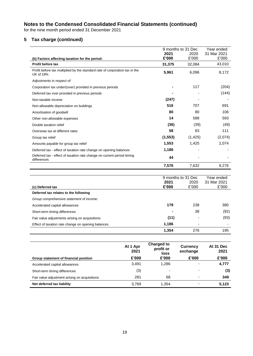for the nine month period ended 31 December 2021

# **5 Tax charge (continued)**

|                                                                                                 |               | 9 months to 31 Dec | Year ended           |
|-------------------------------------------------------------------------------------------------|---------------|--------------------|----------------------|
|                                                                                                 | 2021          | 2020               | 31 Mar 2021          |
| (b) Factors affecting taxation for the period:                                                  | £'000         | £'000              | £'000                |
| <b>Profit before tax</b>                                                                        | 31,375        | 32,084             | 43,010               |
| Profit before tax multiplied by the standard rate of corporation tax in the<br><b>UK of 19%</b> | 5,961         | 6,096              | 8,172                |
| Adjustments in respect of:                                                                      |               |                    |                      |
| Corporation tax under/(over) provided in previous periods                                       |               | 117                | (204)                |
| Deferred tax over provided in previous periods                                                  |               |                    | (144)                |
| Non-taxable income                                                                              | (247)         |                    |                      |
| Non-allowable depreciation on buildings                                                         | 516           | 707                | 691                  |
| Amortisation of goodwill                                                                        | 80            | 80                 | 106                  |
| Other non-allowable expenses                                                                    | 14            | 588                | 593                  |
| Double taxation relief                                                                          | (36)          | (39)               | (49)                 |
| Overseas tax at different rates                                                                 | 58            | 83                 | 111                  |
| Group tax relief                                                                                | (1, 553)      | (1, 425)           | (2,074)              |
| Amounts payable for group tax relief                                                            | 1,553         | 1,425              | 2,074                |
| Deferred tax - effect of taxation rate change on opening balances                               | 1,186         |                    |                      |
| Deferred tax - effect of taxation rate change on current period timing<br>differences           | 44            |                    |                      |
|                                                                                                 | 7,576         | 7,632              | 9,276                |
|                                                                                                 |               |                    |                      |
|                                                                                                 |               | 9 months to 31 Dec | Year ended           |
| (c) Deferred tax                                                                                | 2021<br>£'000 | 2020<br>£'000      | 31 Mar 2021<br>£'000 |
| Deferred tax relates to the following                                                           |               |                    |                      |
| Group comprehensive statement of income:                                                        |               |                    |                      |
| Accelerated capital allowances                                                                  | 179           | 238                | 380                  |
| Short-term timing differences                                                                   |               | 38                 | (92)                 |
| Fair value adjustments arising on acquisitions                                                  | (11)          |                    | (93)                 |
| Effect of taxation rate change on opening balances                                              | 1,186         |                    |                      |
|                                                                                                 | 1,354         | 276                | 195                  |
|                                                                                                 |               |                    |                      |

|                                               | At 1 Apr<br>2021 | Charged to<br>profit or<br>loss | <b>Currency</b><br>exchange | At 31 Dec<br>2021 |
|-----------------------------------------------|------------------|---------------------------------|-----------------------------|-------------------|
| Group statement of financial position         | £'000            | £'000                           | £'000                       | £'000             |
| Accelerated capital allowances                | 3.491            | 1.286                           | $\overline{\phantom{0}}$    | 4,777             |
| Short-term timing differences                 | (3)              |                                 |                             | (3)               |
| Fair value adjustment arising on acquisitions | 281              | 68                              | -                           | 349               |
| Net deferred tax liability                    | 3.769            | 1.354                           |                             | 5,123             |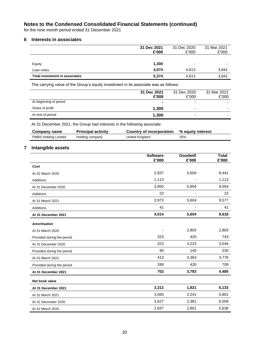for the nine month period ended 31 December 2021

#### **6 Interests in associates**

|                                       | 31 Dec 2021<br>£'000 | 31 Dec 2020<br>£'000     | 31 Mar 2021<br>£'000 |
|---------------------------------------|----------------------|--------------------------|----------------------|
|                                       |                      |                          |                      |
| Equity                                | 1,300                | $\overline{\phantom{0}}$ | -                    |
| Loan notes                            | 4.074                | 4.613                    | 3,841                |
| <b>Total investment in associates</b> | 5,374                | 4.613                    | 3,841                |

The carrying value of the Group's equity investment in its associate was as follows:

|                        | 31 Dec 2021<br>£'000 | 31 Dec 2020<br>£'000 | 31 Mar 2021<br>£'000 |
|------------------------|----------------------|----------------------|----------------------|
| At beginning of period | $\blacksquare$       | -                    |                      |
| Share of profit        | 1,300                | -                    |                      |
| At end of period       | 1,300                | ۰                    |                      |

At 31 December 2021, the Group had interests in the following associate:

| Company name                | <b>Principal activity</b> | Country of incorporation | % equity interest |
|-----------------------------|---------------------------|--------------------------|-------------------|
| <b>PMBS Holding Limited</b> | Holding company           | United Kingdom           | 25%               |

#### **7 Intangible assets**

|                            | <b>Software</b><br>£'000 | Goodwill<br>£'000 | <b>Total</b><br>£'000 |
|----------------------------|--------------------------|-------------------|-----------------------|
| Cost                       |                          |                   |                       |
|                            |                          |                   |                       |
| At 31 March 2020           | 2,837                    | 5,604             | 8,441                 |
| <b>Additions</b>           | 1,113                    |                   | 1,113                 |
| At 31 December 2020        | 3,950                    | 5,604             | 9,554                 |
| <b>Additions</b>           | 23                       |                   | 23                    |
| At 31 March 2021           | 3,973                    | 5,604             | 9,577                 |
| <b>Additions</b>           | 41                       |                   | 41                    |
| At 31 December 2021        | 4,014                    | 5,604             | 9,618                 |
| <b>Amortisation</b>        |                          |                   |                       |
| At 31 March 2020           | $\overline{\phantom{a}}$ | 2,803             | 2,803                 |
| Provided during the period | 323                      | 420               | 743                   |
| At 31 December 2020        | 323                      | 3,223             | 3,546                 |
| Provided during the period | 90                       | 140               | 230                   |
| At 31 March 2021           | 413                      | 3,363             | 3,776                 |
| Provided during the period | 289                      | 420               | 709                   |
| At 31 December 2021        | 702                      | 3,783             | 4,485                 |
| Net book value             |                          |                   |                       |
| At 31 December 2021        | 3,312                    | 1,821             | 5,133                 |
| At 31 March 2021           | 3,560                    | 2,241             | 5,801                 |
| At 31 December 2020        | 3,627                    | 2,381             | 6,008                 |
| At 31 March 2020           | 2,837                    | 2,801             | 5,638                 |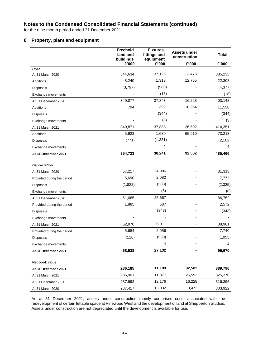for the nine month period ended 31 December 2021

#### **8 Property, plant and equipment**

|                            | Freehold<br>land and<br>buildings | Fixtures,<br>fittings and<br>equipment | <b>Assets under</b><br>construction | <b>Total</b> |
|----------------------------|-----------------------------------|----------------------------------------|-------------------------------------|--------------|
|                            | £'000                             | £'000                                  | £'000                               | £'000        |
| Cost                       |                                   |                                        |                                     |              |
| At 31 March 2020           | 344,634                           | 37,128                                 | 3,473                               | 385,235      |
| Additions                  | 8,240                             | 1,313                                  | 12,755                              | 22,308       |
| <b>Disposals</b>           | (3,797)                           | (580)                                  |                                     | (4, 377)     |
| Exchange movements         |                                   | (18)                                   |                                     | (18)         |
| At 31 December 2020        | 349,077                           | 37,843                                 | 16,228                              | 403,148      |
| Additions                  | 794                               | 392                                    | 10,364                              | 11,550       |
| <b>Disposals</b>           |                                   | (344)                                  |                                     | (344)        |
| Exchange movements         |                                   | (3)                                    |                                     | (3)          |
| At 31 March 2021           | 349,871                           | 37,888                                 | 26,592                              | 414,351      |
| Additions                  | 5,623                             | 1,680                                  | 65,910                              | 73,213       |
| <b>Disposals</b>           | (771)                             | (1, 331)                               |                                     | (2, 102)     |
| Exchange movements         |                                   | 4                                      |                                     | 4            |
| At 31 December 2021        | 354,723                           | 38,241                                 | 92,502                              | 485,466      |
| <b>Depreciation</b>        |                                   |                                        |                                     |              |
| At 31 March 2020           | 57,217                            | 24,096                                 |                                     | 81,313       |
| Provided during the period | 5,690                             | 2,082                                  |                                     | 7,772        |
| <b>Disposals</b>           | (1,822)                           | (503)                                  |                                     | (2,325)      |
| Exchange movements         |                                   | (8)                                    |                                     | (8)          |
| At 31 December 2020        | 61,085                            | 25,667                                 |                                     | 86,752       |
| Provided during the period | 1,885                             | 687                                    |                                     | 2,572        |
| <b>Disposals</b>           |                                   | (343)                                  |                                     | (343)        |
| Exchange movements         |                                   |                                        |                                     |              |
| At 31 March 2021           | 62,970                            | 26,011                                 |                                     | 88,981       |
| Provided during the period | 5,684                             | 2,056                                  |                                     | 7,740        |
| Disposals                  | (116)                             | (939)                                  |                                     | (1,055)      |
| Exchange movements         |                                   | 4                                      |                                     | 4            |
| At 31 December 2021        | 68,538                            | 27,132                                 |                                     | 95,670       |
| Net book value             |                                   |                                        |                                     |              |
| At 31 December 2021        | 286,185                           | 11,109                                 | 92,502                              | 389,796      |
| At 31 March 2021           | 286,901                           | 11,877                                 | 26,592                              | 325,370      |
| At 31 December 2020        | 287,992                           | 12,176                                 | 16,228                              | 316,396      |
| At 31 March 2020           | 287,417                           | 13,032                                 | 3,473                               | 303,922      |

As at 31 December 2021, assets under construction mainly comprises costs associated with the redevelopment of certain lettable space at Pinewood West and the development of land at Shepperton Studios. Assets under construction are not depreciated until the development is available for use.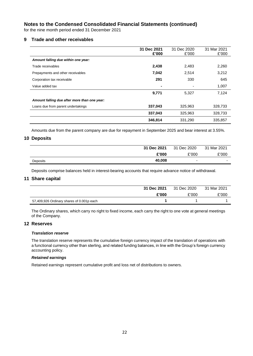for the nine month period ended 31 December 2021

#### **9 Trade and other receivables**

|                                              | 31 Dec 2021<br>£'000 | 31 Dec 2020<br>£'000 | 31 Mar 2021<br>£'000 |
|----------------------------------------------|----------------------|----------------------|----------------------|
| Amount falling due within one year:          |                      |                      |                      |
| Trade receivables                            | 2,438                | 2,483                | 2,260                |
| Prepayments and other receivables            | 7,042                | 2,514                | 3,212                |
| Corporation tax receivable                   | 291                  | 330                  | 645                  |
| Value added tax                              | ۰                    |                      | 1,007                |
|                                              | 9,771                | 5.327                | 7,124                |
| Amount falling due after more than one year: |                      |                      |                      |
| Loans due from parent undertakings           | 337,043              | 325,963              | 328,733              |
|                                              | 337,043              | 325,963              | 328,733              |
|                                              | 346,814              | 331,290              | 335,857              |

Amounts due from the parent company are due for repayment in September 2025 and bear interest at 3.55%.

#### **10 Deposits**

|          | 31 Dec 2021 | 31 Dec 2020              | 31 Mar 2021              |
|----------|-------------|--------------------------|--------------------------|
|          | £'000       | £'000                    | £'000                    |
| Deposits | 40,008      | $\overline{\phantom{0}}$ | $\overline{\phantom{0}}$ |

Deposits comprise balances held in interest-bearing accounts that require advance notice of withdrawal.

#### **11 Share capital**

|                                           | 31 Dec 2021 | 31 Dec 2020 | 31 Mar 2021 |
|-------------------------------------------|-------------|-------------|-------------|
|                                           | £'000       | £'000       | £'000       |
| 57,409,926 Ordinary shares of 0.001p each |             |             |             |

The Ordinary shares, which carry no right to fixed income, each carry the right to one vote at general meetings of the Company.

#### **12 Reserves**

#### *Translation reserve*

The translation reserve represents the cumulative foreign currency impact of the translation of operations with a functional currency other than sterling, and related funding balances, in line with the Group's foreign currency accounting policy.

#### *Retained earnings*

Retained earnings represent cumulative profit and loss net of distributions to owners.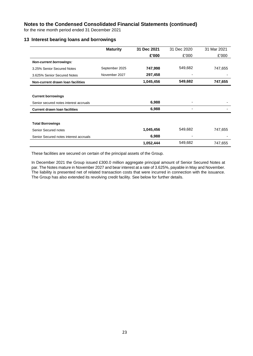for the nine month period ended 31 December 2021

#### **13 Interest bearing loans and borrowings**

|                                        | <b>Maturity</b> | 31 Dec 2021 | 31 Dec 2020              | 31 Mar 2021 |
|----------------------------------------|-----------------|-------------|--------------------------|-------------|
|                                        |                 | £'000       | £'000                    | £'000       |
| <b>Non-current borrowings:</b>         |                 |             |                          |             |
| 3.25% Senior Secured Notes             | September 2025  | 747,998     | 549,682                  | 747,655     |
| 3.625% Senior Secured Notes            | November 2027   | 297,458     |                          |             |
| Non-current drawn loan facilities      |                 | 1,045,456   | 549,682                  | 747,655     |
|                                        |                 |             |                          |             |
| <b>Current borrowings</b>              |                 |             |                          |             |
| Senior secured notes interest accruals |                 | 6,988       |                          |             |
| <b>Current drawn loan facilities</b>   |                 | 6,988       |                          |             |
|                                        |                 |             |                          |             |
| <b>Total Borrowings</b>                |                 |             |                          |             |
| Senior Secured notes                   |                 | 1,045,456   | 549,682                  | 747,655     |
| Senior Secured notes interest accruals |                 | 6,988       | $\overline{\phantom{0}}$ |             |
|                                        |                 | 1,052,444   | 549,682                  | 747,655     |

These facilities are secured on certain of the principal assets of the Group.

In December 2021 the Group issued £300.0 million aggregate principal amount of Senior Secured Notes at par. The Notes mature in November 2027 and bear interest at a rate of 3.625%, payable in May and November. The liability is presented net of related transaction costs that were incurred in connection with the issuance. The Group has also extended its revolving credit facility. See below for further details.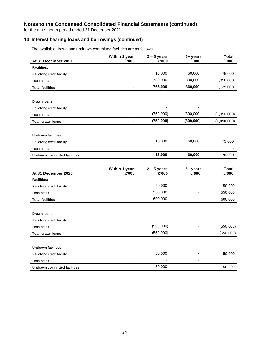for the nine month period ended 31 December 2021

#### **13 Interest bearing loans and borrowings (continued)**

| At 31 December 2021                 | Within 1 year<br>£'000 | $\overline{2}$ – 5 years<br>£'000 | 5+ years<br>£'000 | <b>Total</b><br>£'000 |
|-------------------------------------|------------------------|-----------------------------------|-------------------|-----------------------|
| <b>Facilities:</b>                  |                        |                                   |                   |                       |
| Revolving credit facility           |                        | 15,000                            | 60,000            | 75,000                |
| Loan notes                          |                        | 750,000                           | 300,000           | 1,050,000             |
| <b>Total facilities</b>             |                        | 765,000                           | 360,000           | 1,125,000             |
|                                     |                        |                                   |                   |                       |
| Drawn Ioans:                        |                        |                                   |                   |                       |
| Revolving credit facility           |                        |                                   |                   |                       |
| Loan notes                          |                        | (750,000)                         | (300,000)         | (1,050,000)           |
| <b>Total drawn loans</b>            |                        | (750,000)                         | (300,000)         | (1,050,000)           |
|                                     |                        |                                   |                   |                       |
| <b>Undrawn facilities:</b>          |                        |                                   |                   |                       |
| Revolving credit facility           |                        | 15,000                            | 60,000            | 75,000                |
| Loan notes                          |                        |                                   |                   |                       |
| <b>Undrawn committed facilities</b> |                        | 15,000                            | 60,000            | 75,000                |
|                                     |                        |                                   |                   |                       |
| At 31 December 2020                 | Within 1 year<br>£'000 | $2 - 5$ years<br>£'000            | 5+ years<br>£'000 | <b>Total</b><br>£'000 |
| <b>Facilities:</b>                  |                        |                                   |                   |                       |
| Revolving credit facility           |                        | 50,000                            |                   | 50,000                |
| Loan notes                          |                        | 550,000                           |                   | 550,000               |
| <b>Total facilities</b>             | $\overline{a}$         | 600,000                           | $\blacksquare$    | 600,000               |
|                                     |                        |                                   |                   |                       |
| Drawn Ioans:                        |                        |                                   |                   |                       |
| Revolving credit facility           |                        |                                   |                   |                       |
| Loan notes                          |                        | (550,000)                         |                   | (550,000)             |
| <b>Total drawn loans</b>            |                        | (550,000)                         |                   | (550,000)             |
| <b>Undrawn facilities:</b>          |                        |                                   |                   |                       |
| Revolving credit facility           |                        | 50,000                            |                   | 50,000                |
| Loan notes                          |                        |                                   |                   |                       |

The available drawn and undrawn committed facilities are as follows.

**Undrawn committed facilities** - 50,000 - 50,000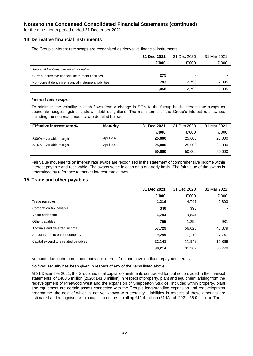for the nine month period ended 31 December 2021

#### **14 Derivative financial instruments**

The Group's interest rate swaps are recognised as derivative financial instruments.

|                                                         | 31 Dec 2021 | 31 Dec 2020 | 31 Mar 2021 |
|---------------------------------------------------------|-------------|-------------|-------------|
|                                                         | £'000       | £'000       | £'000       |
| Financial liabilities carried at fair value:            |             |             |             |
| Current derivative financial instrument liabilities     | 275         |             |             |
| Non-current derivative financial instrument liabilities | 783         | 2.798       | 2,095       |
|                                                         | 1,058       | 2.798       | 2,095       |

#### *Interest rate swaps*

To minimise the volatility in cash flows from a change in SONIA, the Group holds interest rate swaps as economic hedges against undrawn debt obligations. The main terms of the Group's interest rate swaps, including the notional amounts, are detailed below.

| <b>Effective interest rate %</b> | <b>Maturity</b> | 31 Dec 2021 | 31 Dec 2020 | 31 Mar 2021 |
|----------------------------------|-----------------|-------------|-------------|-------------|
|                                  |                 | £'000       | £'000       | £'000       |
| 2.00% + variable margin          | April 2025      | 25,000      | 25,000      | 25,000      |
| 2.16% + variable margin          | April 2022      | 25,000      | 25,000      | 25,000      |
|                                  |                 | 50,000      | 50,000      | 50,000      |

Fair value movements on interest rate swaps are recognised in the statement of comprehensive income within interest payable and receivable. The swaps settle in cash on a quarterly basis. The fair value of the swaps is determined by reference to market interest rate curves.

#### **15 Trade and other payables**

|                                      | 31 Dec 2021 | 31 Dec 2020 | 31 Mar 2021              |
|--------------------------------------|-------------|-------------|--------------------------|
|                                      | £'000       | £'000       | £'000                    |
| Trade payables                       | 1,216       | 4,747       | 2,803                    |
| Corporation tax payable              | 340         | 396         |                          |
| Value added tax                      | 6,744       | 9,844       | $\overline{\phantom{0}}$ |
| Other payables                       | 755         | 1,290       | 981                      |
| Accruals and deferred income         | 57,729      | 56,028      | 43,379                   |
| Amounts due to parent company        | 9,289       | 7,110       | 7,741                    |
| Capital expenditure related payables | 22,141      | 11,947      | 11,866                   |
|                                      | 98,214      | 91,362      | 66,770                   |

Amounts due to the parent company are interest free and have no fixed repayment terms.

No fixed security has been given in respect of any of the items listed above.

At 31 December 2021, the Group had total capital commitments contracted for, but not provided in the financial statements, of £408.5 million (2020: £41.8 million) in respect of property, plant and equipment arising from the redevelopment of Pinewood West and the expansion of Shepperton Studios. Included within property, plant and equipment are certain assets connected with the Group's long-standing expansion and redevelopment programme, the cost of which is not yet known with certainty. Liabilities in respect of these amounts are estimated and recognised within capital creditors, totalling £11.4 million (31 March 2021: £6.0 million). The